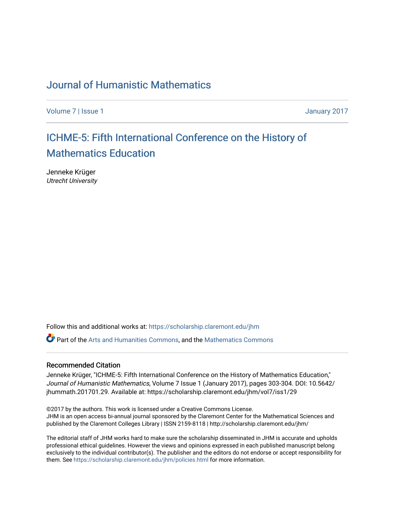### [Journal of Humanistic Mathematics](https://scholarship.claremont.edu/jhm)

[Volume 7](https://scholarship.claremont.edu/jhm/vol7) | [Issue 1](https://scholarship.claremont.edu/jhm/vol7/iss1) January 2017

# [ICHME-5: Fifth International Conference on the History of](https://scholarship.claremont.edu/jhm/vol7/iss1/29)  [Mathematics Education](https://scholarship.claremont.edu/jhm/vol7/iss1/29)

Jenneke Krüger Utrecht University

Follow this and additional works at: [https://scholarship.claremont.edu/jhm](https://scholarship.claremont.edu/jhm?utm_source=scholarship.claremont.edu%2Fjhm%2Fvol7%2Fiss1%2F29&utm_medium=PDF&utm_campaign=PDFCoverPages)

Part of the [Arts and Humanities Commons,](http://network.bepress.com/hgg/discipline/438?utm_source=scholarship.claremont.edu%2Fjhm%2Fvol7%2Fiss1%2F29&utm_medium=PDF&utm_campaign=PDFCoverPages) and the [Mathematics Commons](http://network.bepress.com/hgg/discipline/174?utm_source=scholarship.claremont.edu%2Fjhm%2Fvol7%2Fiss1%2F29&utm_medium=PDF&utm_campaign=PDFCoverPages) 

#### Recommended Citation

Jenneke Krüger, "ICHME-5: Fifth International Conference on the History of Mathematics Education," Journal of Humanistic Mathematics, Volume 7 Issue 1 (January 2017), pages 303-304. DOI: 10.5642/ jhummath.201701.29. Available at: https://scholarship.claremont.edu/jhm/vol7/iss1/29

©2017 by the authors. This work is licensed under a Creative Commons License. JHM is an open access bi-annual journal sponsored by the Claremont Center for the Mathematical Sciences and published by the Claremont Colleges Library | ISSN 2159-8118 | http://scholarship.claremont.edu/jhm/

The editorial staff of JHM works hard to make sure the scholarship disseminated in JHM is accurate and upholds professional ethical guidelines. However the views and opinions expressed in each published manuscript belong exclusively to the individual contributor(s). The publisher and the editors do not endorse or accept responsibility for them. See<https://scholarship.claremont.edu/jhm/policies.html> for more information.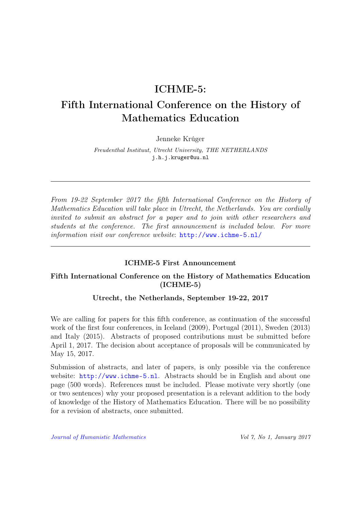## ICHME-5:

# Fifth International Conference on the History of Mathematics Education

Jenneke Krúger

Freudenthal Instituut, Utrecht University, THE NETHERLANDS j.h.j.kruger@uu.nl

From 19-22 September 2017 the fifth International Conference on the History of Mathematics Education will take place in Utrecht, the Netherlands. You are cordially invited to submit an abstract for a paper and to join with other researchers and students at the conference. The first announcement is included below. For more information visit our conference website: <http://www.ichme-5.nl/>

### ICHME-5 First Announcement

### Fifth International Conference on the History of Mathematics Education (ICHME-5)

### Utrecht, the Netherlands, September 19-22, 2017

We are calling for papers for this fifth conference, as continuation of the successful work of the first four conferences, in Iceland (2009), Portugal (2011), Sweden (2013) and Italy (2015). Abstracts of proposed contributions must be submitted before April 1, 2017. The decision about acceptance of proposals will be communicated by May 15, 2017.

Submission of abstracts, and later of papers, is only possible via the conference website: <http://www.ichme-5.nl>. Abstracts should be in English and about one page (500 words). References must be included. Please motivate very shortly (one or two sentences) why your proposed presentation is a relevant addition to the body of knowledge of the History of Mathematics Education. There will be no possibility for a revision of abstracts, once submitted.

[Journal of Humanistic Mathematics](http://scholarship.claremont.edu/jhm/) Vol 7, No 1, January 2017